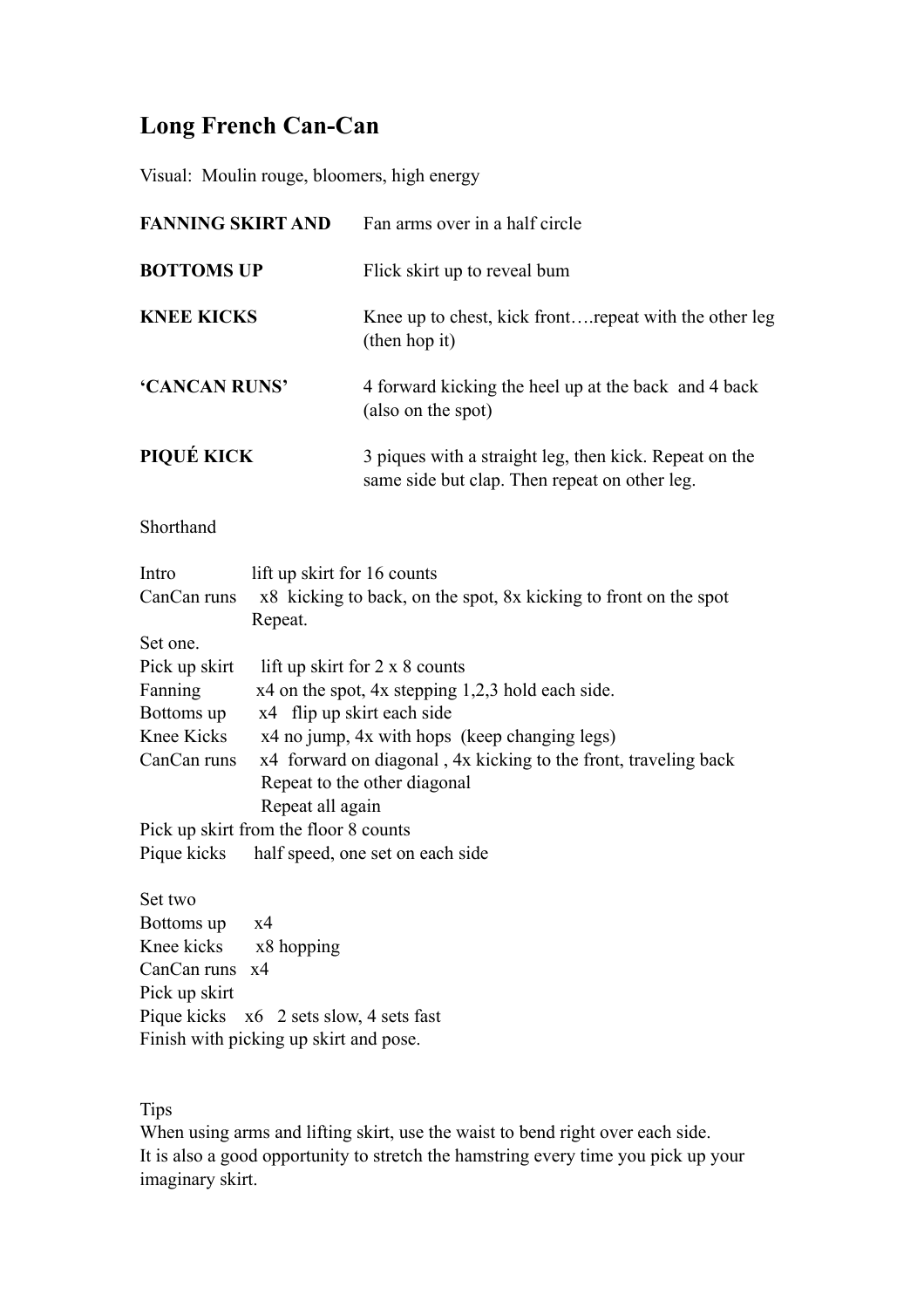## **Long French Can-Can**

Visual: Moulin rouge, bloomers, high energy

| <b>FANNING SKIRT AND</b>                                                                                                                                                                                                      | Fan arms over in a half circle                                                                                                                                                                                                                                                                                                                                                |
|-------------------------------------------------------------------------------------------------------------------------------------------------------------------------------------------------------------------------------|-------------------------------------------------------------------------------------------------------------------------------------------------------------------------------------------------------------------------------------------------------------------------------------------------------------------------------------------------------------------------------|
| <b>BOTTOMS UP</b>                                                                                                                                                                                                             | Flick skirt up to reveal bum                                                                                                                                                                                                                                                                                                                                                  |
| <b>KNEE KICKS</b>                                                                                                                                                                                                             | Knee up to chest, kick front repeat with the other leg<br>(then hop it)                                                                                                                                                                                                                                                                                                       |
| 'CANCAN RUNS'                                                                                                                                                                                                                 | 4 forward kicking the heel up at the back and 4 back<br>(also on the spot)                                                                                                                                                                                                                                                                                                    |
| PIQUÉ KICK                                                                                                                                                                                                                    | 3 piques with a straight leg, then kick. Repeat on the<br>same side but clap. Then repeat on other leg.                                                                                                                                                                                                                                                                       |
| Shorthand                                                                                                                                                                                                                     |                                                                                                                                                                                                                                                                                                                                                                               |
| Intro<br>lift up skirt for 16 counts<br>CanCan runs<br>Repeat.<br>Set one.<br>Pick up skirt<br>Fanning<br>Bottoms up<br>Knee Kicks<br>CanCan runs<br>Repeat all again<br>Pick up skirt from the floor 8 counts<br>Pique kicks | x8 kicking to back, on the spot, 8x kicking to front on the spot<br>lift up skirt for 2 x 8 counts<br>x4 on the spot, 4x stepping 1,2,3 hold each side.<br>x4 flip up skirt each side<br>x4 no jump, 4x with hops (keep changing legs)<br>x4 forward on diagonal, 4x kicking to the front, traveling back<br>Repeat to the other diagonal<br>half speed, one set on each side |
| Set two<br>Bottoms up<br>x4<br>Knee kicks<br>x8 hopping<br>CanCan runs<br>x4<br>Pick up skirt<br>Pique kicks x6 2 sets slow, 4 sets fast<br>Finish with picking up skirt and pose.                                            |                                                                                                                                                                                                                                                                                                                                                                               |

**Tips** 

When using arms and lifting skirt, use the waist to bend right over each side. It is also a good opportunity to stretch the hamstring every time you pick up your imaginary skirt.